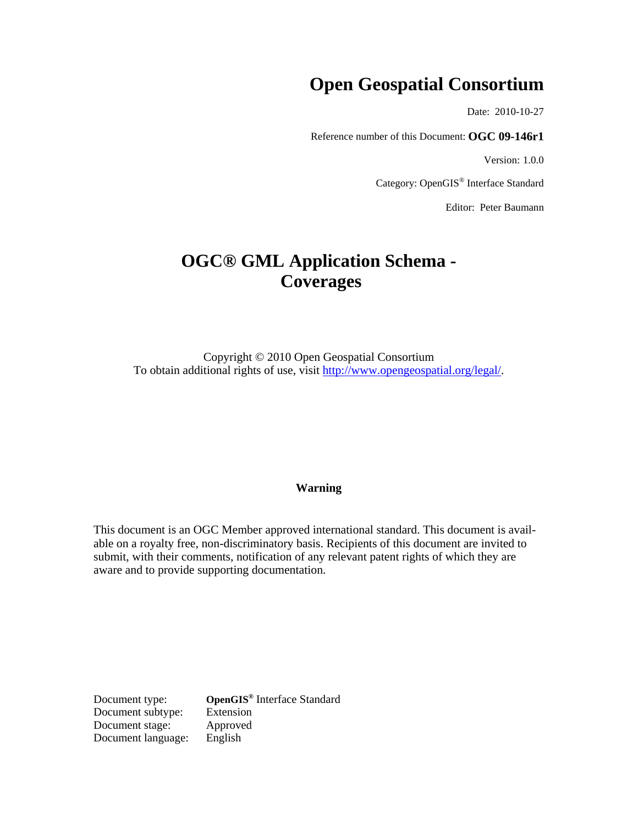# **Open Geospatial Consortium**

Date: 2010-10-27

Reference number of this Document: **OGC 09-146r1** 

Version: 1.0.0

Category: OpenGIS® Interface Standard

Editor: Peter Baumann

# **OGC® GML Application Schema - Coverages**

Copyright © 2010 Open Geospatial Consortium To obtain additional rights of use, visit [http://www.opengeospatial.org/legal/.](http://www.opengeospatial.org/legal/)

### **Warning**

This document is an OGC Member approved international standard. This document is available on a royalty free, non-discriminatory basis. Recipients of this document are invited to submit, with their comments, notification of any relevant patent rights of which they are aware and to provide supporting documentation.

**Document type: OpenGIS<sup>®</sup> Interface Standard Document subtype:** Extension Document subtype: Document stage: Approved Document language: English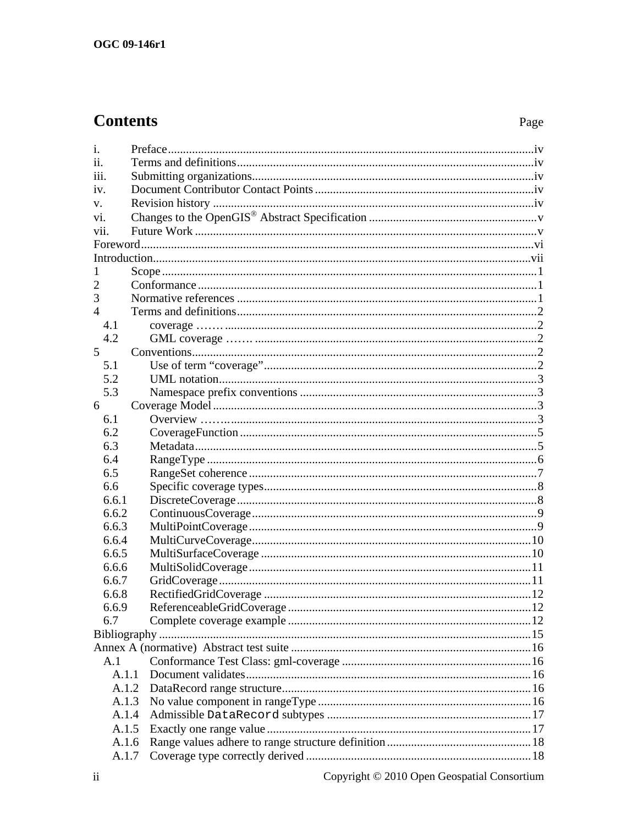# **Contents**

# Page

| 1.             |  |  |
|----------------|--|--|
| ii.            |  |  |
| iii.           |  |  |
| iv.            |  |  |
| V.             |  |  |
| vi.            |  |  |
| vii.           |  |  |
|                |  |  |
|                |  |  |
|                |  |  |
| 2              |  |  |
| 3              |  |  |
| $\overline{4}$ |  |  |
| 4.1            |  |  |
| 4.2            |  |  |
| 5 <sup>1</sup> |  |  |
| 5.1            |  |  |
| 5.2            |  |  |
| 5.3            |  |  |
| 6              |  |  |
| 6.1            |  |  |
| 6.2            |  |  |
| 6.3            |  |  |
| 6.4            |  |  |
| 6.5            |  |  |
| 6.6            |  |  |
| 6.6.1          |  |  |
| 6.6.2          |  |  |
| 6.6.3          |  |  |
| 6.6.4          |  |  |
| 6.6.5          |  |  |
| 6.6.6          |  |  |
| 6.6.7          |  |  |
| 6.6.8          |  |  |
| 6.6.9          |  |  |
| 6.7            |  |  |
|                |  |  |
|                |  |  |
| A.1            |  |  |
| A.1.1          |  |  |
|                |  |  |
| A.1.3          |  |  |
| A.1.4          |  |  |
| A.1.5          |  |  |
|                |  |  |
| A.1.6          |  |  |
| A.1.7          |  |  |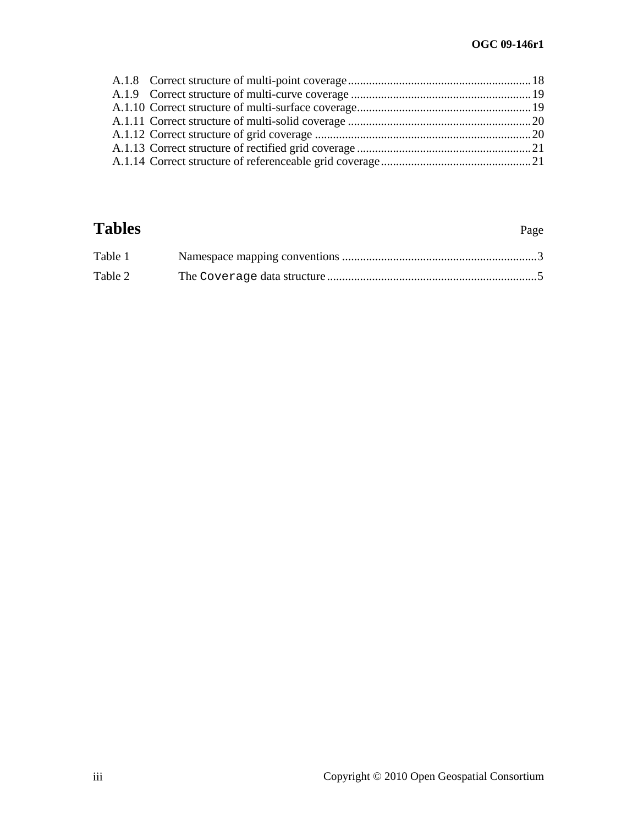# **Tables** Page

| Table 1 |  |
|---------|--|
| Table 2 |  |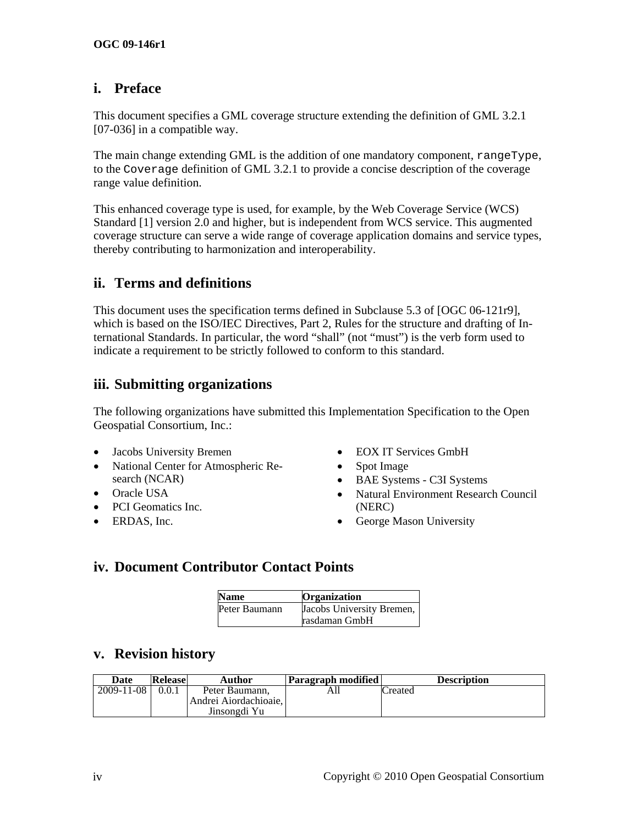# <span id="page-3-0"></span>**i. Preface**

This document specifies a GML coverage structure extending the definition of GML 3.2.1 [07-036] in a compatible way.

The main change extending GML is the addition of one mandatory component, rangeType, to the Coverage definition of GML 3.2.1 to provide a concise description of the coverage range value definition.

This enhanced coverage type is used, for example, by the Web Coverage Service (WCS) Standard [\[1\]](#page-21-1) version 2.0 and higher, but is independent from WCS service. This augmented coverage structure can serve a wide range of coverage application domains and service types, thereby contributing to harmonization and interoperability.

# **ii. Terms and definitions**

This document uses the specification terms defined in Subclause 5.3 of [OGC 06-121r9], which is based on the ISO/IEC Directives, Part 2, Rules for the structure and drafting of International Standards. In particular, the word "shall" (not "must") is the verb form used to indicate a requirement to be strictly followed to conform to this standard.

# **iii. Submitting organizations**

The following organizations have submitted this Implementation Specification to the Open Geospatial Consortium, Inc.:

- Jacobs University Bremen EOX IT Services GmbH
- National Center for Atmospheric Research (NCAR)
- 
- PCI Geomatics Inc. (NERC)
- 
- 
- Spot Image
- BAE Systems C3I Systems
- Oracle USA Natural Environment Research Council
- ERDAS, Inc. George Mason University

# **iv. Document Contributor Contact Points**

| <b>Name</b>   | <b>Organization</b>       |
|---------------|---------------------------|
| Peter Baumann | Jacobs University Bremen, |
|               | rasdaman GmbH             |

# **v. Revision history**

| Date       | <b>Release</b> | Author                                  | <b>Paragraph modified</b> | <b>Description</b> |
|------------|----------------|-----------------------------------------|---------------------------|--------------------|
| 2009-11-08 |                | Peter Baumann.<br>Andrei Aiordachioaie. | AШ                        | Created            |
|            |                | Jinsongdi Yu                            |                           |                    |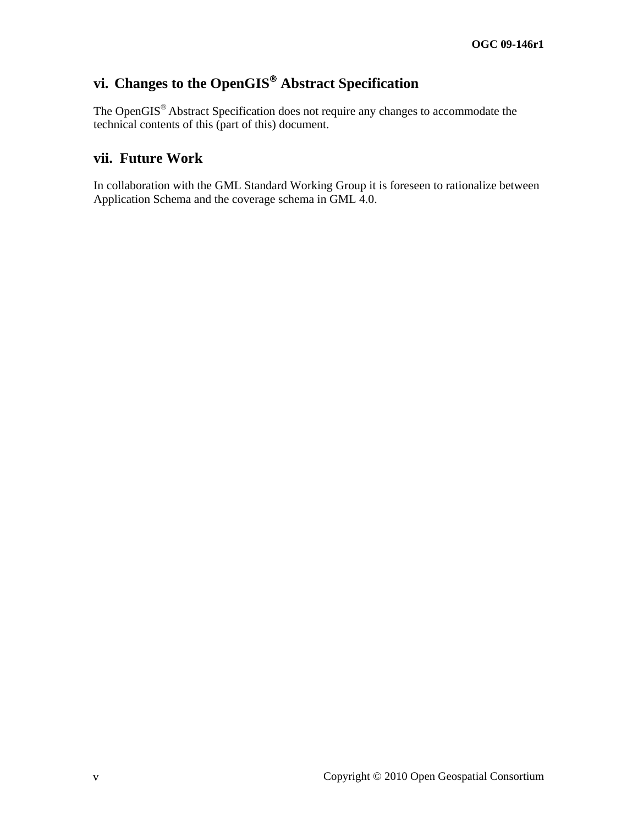# <span id="page-4-0"></span>**vi. Changes to the OpenGIS**® **Abstract Specification**

The OpenGIS® Abstract Specification does not require any changes to accommodate the technical contents of this (part of this) document.

# **vii. Future Work**

In collaboration with the GML Standard Working Group it is foreseen to rationalize between Application Schema and the coverage schema in GML 4.0.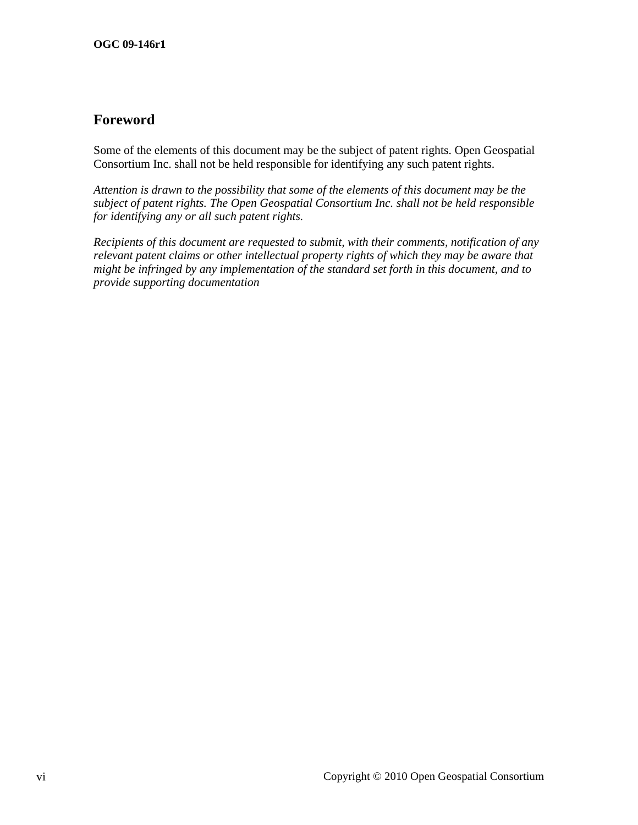# <span id="page-5-0"></span>**Foreword**

Some of the elements of this document may be the subject of patent rights. Open Geospatial Consortium Inc. shall not be held responsible for identifying any such patent rights.

*Attention is drawn to the possibility that some of the elements of this document may be the subject of patent rights. The Open Geospatial Consortium Inc. shall not be held responsible for identifying any or all such patent rights.* 

*Recipients of this document are requested to submit, with their comments, notification of any relevant patent claims or other intellectual property rights of which they may be aware that might be infringed by any implementation of the standard set forth in this document, and to provide supporting documentation*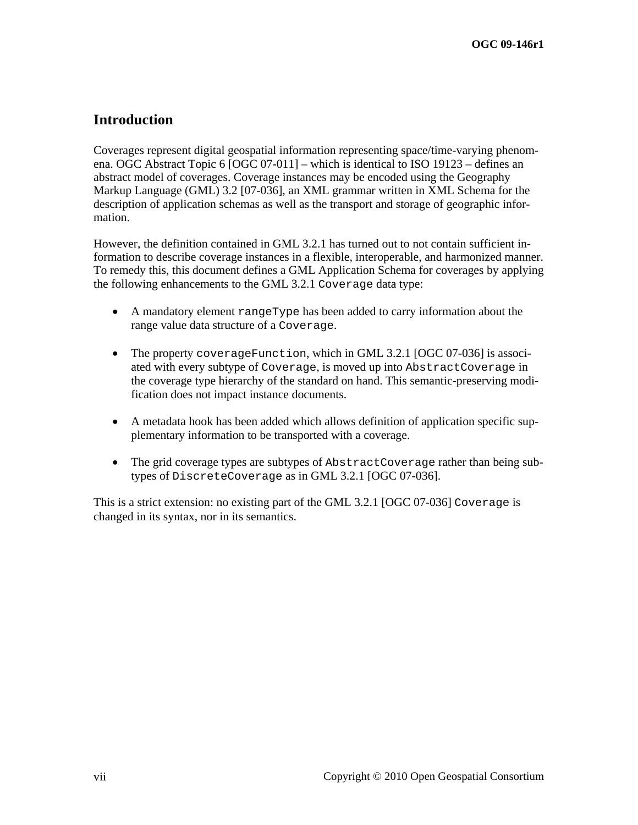# <span id="page-6-0"></span>**Introduction**

Coverages represent digital geospatial information representing space/time-varying phenomena. OGC Abstract Topic 6 [OGC 07-011] – which is identical to ISO 19123 – defines an abstract model of coverages. Coverage instances may be encoded using the Geography Markup Language (GML) 3.2 [07-036], an XML grammar written in XML Schema for the description of application schemas as well as the transport and storage of geographic information.

However, the definition contained in GML 3.2.1 has turned out to not contain sufficient information to describe coverage instances in a flexible, interoperable, and harmonized manner. To remedy this, this document defines a GML Application Schema for coverages by applying the following enhancements to the GML 3.2.1 Coverage data type:

- A mandatory element rangeType has been added to carry information about the range value data structure of a Coverage.
- The property coverageFunction, which in GML 3.2.1 [OGC 07-036] is associated with every subtype of Coverage, is moved up into AbstractCoverage in the coverage type hierarchy of the standard on hand. This semantic-preserving modification does not impact instance documents.
- A metadata hook has been added which allows definition of application specific supplementary information to be transported with a coverage.
- The grid coverage types are subtypes of AbstractCoverage rather than being subtypes of DiscreteCoverage as in GML 3.2.1 [OGC 07-036].

This is a strict extension: no existing part of the GML 3.2.1 [OGC 07-036] Coverage is changed in its syntax, nor in its semantics.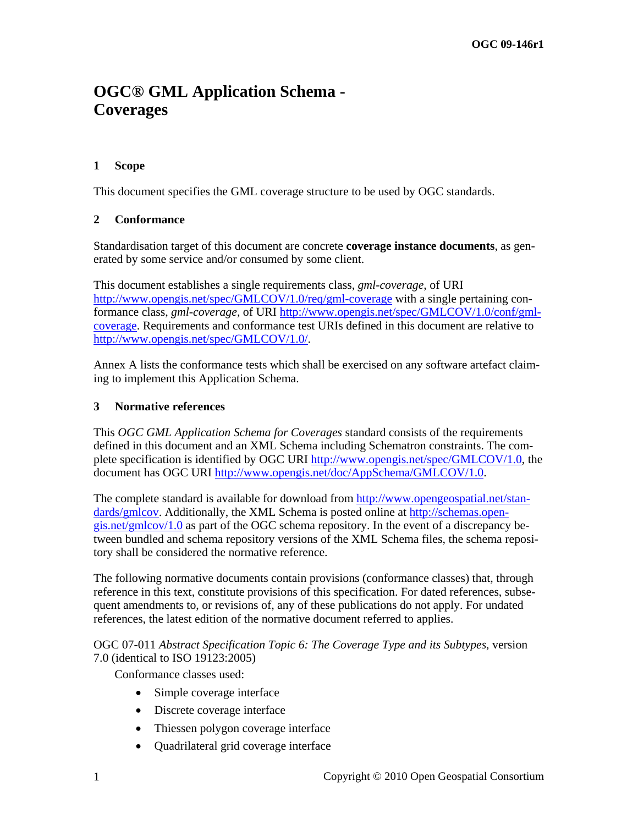# <span id="page-7-0"></span>**OGC® GML Application Schema - Coverages**

# **1 Scope**

This document specifies the GML coverage structure to be used by OGC standards.

# **2 Conformance**

Standardisation target of this document are concrete **coverage instance documents**, as generated by some service and/or consumed by some client.

This document establishes a single requirements class, *gml-coverage*, of URI <http://www.opengis.net/spec/GMLCOV/1.0/req/gml-coverage>with a single pertaining conformance class, *gml-coverage,* of URI [http://www.opengis.net/spec/GMLCOV/1.0/conf/gml](http://www.opengis.net/spec/GMLCOV/1.0/conf/gml-coverage)[coverage](http://www.opengis.net/spec/GMLCOV/1.0/conf/gml-coverage). Requirements and conformance test URIs defined in this document are relative to [http://www.opengis.net/spec/GMLCOV/1.0/.](http://www.opengis.net/spec/GMLCOV/1.0/)

Annex A lists the conformance tests which shall be exercised on any software artefact claiming to implement this Application Schema.

### **3 Normative references**

This *OGC GML Application Schema for Coverages* standard consists of the requirements defined in this document and an XML Schema including Schematron constraints. The complete specification is identified by OGC URI <http://www.opengis.net/spec/GMLCOV/1.0>, the document has OGC URI<http://www.opengis.net/doc/AppSchema/GMLCOV/1.0>.

The complete standard is available for download from http://www.opengeospatial.net/standards/gmlcov. Additionally, the XML Schema is posted online at http://schemas.opengis.net/gmlcov/1.0 as part of the OGC schema repository. In the event of a discrepancy between bundled and schema repository versions of the XML Schema files, the schema repository shall be considered the normative reference.

The following normative documents contain provisions (conformance classes) that, through reference in this text, constitute provisions of this specification. For dated references, subsequent amendments to, or revisions of, any of these publications do not apply. For undated references, the latest edition of the normative document referred to applies.

#### OGC 07-011 *Abstract Specification Topic 6: The Coverage Type and its Subtypes*, version 7.0 (identical to ISO 19123:2005)

Conformance classes used:

- Simple coverage interface
- Discrete coverage interface
- Thiessen polygon coverage interface
- Quadrilateral grid coverage interface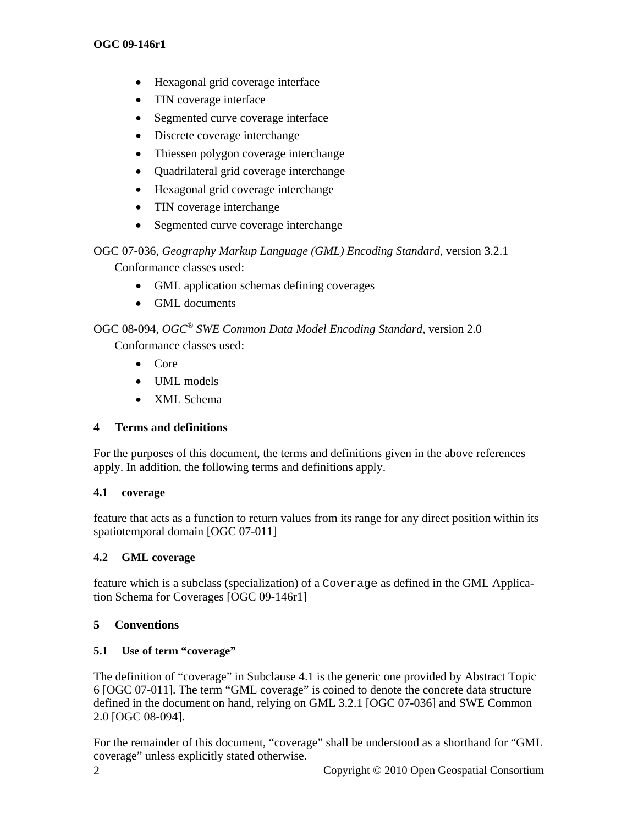- <span id="page-8-0"></span>• Hexagonal grid coverage interface
- TIN coverage interface
- Segmented curve coverage interface
- Discrete coverage interchange
- Thiessen polygon coverage interchange
- Quadrilateral grid coverage interchange
- Hexagonal grid coverage interchange
- TIN coverage interchange
- Segmented curve coverage interchange

#### OGC 07-036, *Geography Markup Language (GML) Encoding Standard*, version 3.2.1 Conformance classes used:

- GML application schemas defining coverages
- GML documents

# OGC 08-094, *OGC® SWE Common Data Model Encoding Standard*, version 2.0

Conformance classes used:

- Core
- UML models
- XML Schema

# **4 Terms and definitions**

For the purposes of this document, the terms and definitions given in the above references apply. In addition, the following terms and definitions apply.

# **4.1 coverage …….**

feature that acts as a function to return values from its range for any direct position within its spatiotemporal domain [OGC 07-011]

# **4.2 GML** coverage

feature which is a subclass (specialization) of a Coverage as defined in the GML Application Schema for Coverages [OGC 09-146r1]

# **5 Conventions**

# **5.1 Use of term "coverage"**

The definition of "coverage" in Subclause 4.1 is the generic one provided by Abstract Topic 6 [OGC 07-011]. The term "GML coverage" is coined to denote the concrete data structure defined in the document on hand, relying on GML 3.2.1 [OGC 07-036] and SWE Common 2.0 [OGC 08-094].

For the remainder of this document, "coverage" shall be understood as a shorthand for "GML coverage" unless explicitly stated otherwise.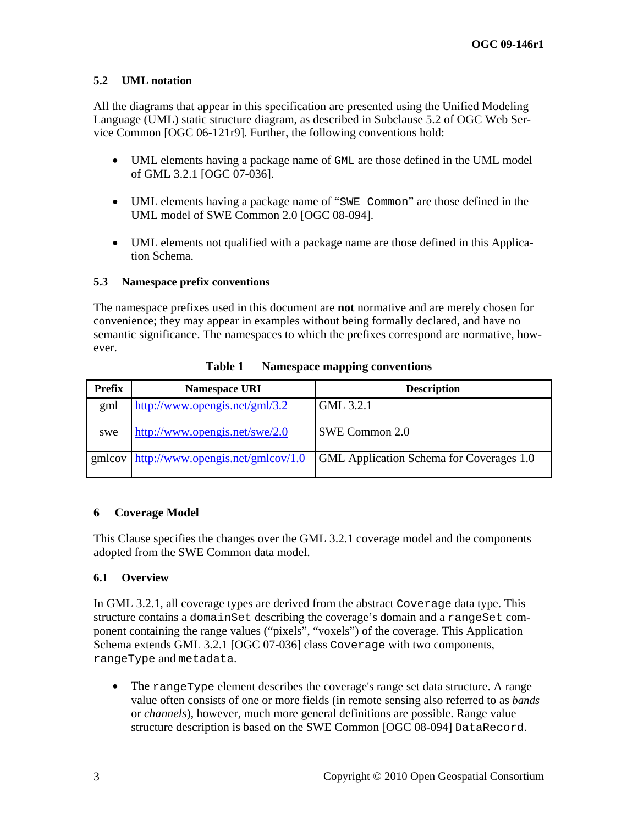# <span id="page-9-0"></span>**5.2 UML notation**

All the diagrams that appear in this specification are presented using the Unified Modeling Language (UML) static structure diagram, as described in Subclause 5.2 of OGC Web Service Common [OGC 06-121r9]. Further, the following conventions hold:

- UML elements having a package name of GML are those defined in the UML model of GML 3.2.1 [OGC 07-036].
- UML elements having a package name of "SWE Common" are those defined in the UML model of SWE Common 2.0 [OGC 08-094].
- UML elements not qualified with a package name are those defined in this Application Schema.

# **5.3 Namespace prefix conventions**

The namespace prefixes used in this document are **not** normative and are merely chosen for convenience; they may appear in examples without being formally declared, and have no semantic significance. The namespaces to which the prefixes correspond are normative, however.

| Prefix | <b>Namespace URI</b>              | <b>Description</b>                              |
|--------|-----------------------------------|-------------------------------------------------|
| gml    | http://www.opengis.net/gml/3.2    | GML 3.2.1                                       |
| swe    | http://www.opengis.net/swe/2.0    | SWE Common 2.0                                  |
| gmlcov | http://www.opengis.net/gmlcov/1.0 | <b>GML</b> Application Schema for Coverages 1.0 |

**Table 1 Namespace mapping conventions** 

# **6 Coverage Model**

This Clause specifies the changes over the GML 3.2.1 coverage model and the components adopted from the SWE Common data model.

# **6.1 Overview**

In GML 3.2.1, all coverage types are derived from the abstract Coverage data type. This structure contains a domainSet describing the coverage's domain and a rangeSet component containing the range values ("pixels", "voxels") of the coverage. This Application Schema extends GML 3.2.1 [OGC 07-036] class Coverage with two components, rangeType and metadata.

• The rangeType element describes the coverage's range set data structure. A range value often consists of one or more fields (in remote sensing also referred to as *bands*  or *channels*), however, much more general definitions are possible. Range value structure description is based on the SWE Common [OGC 08-094] DataRecord.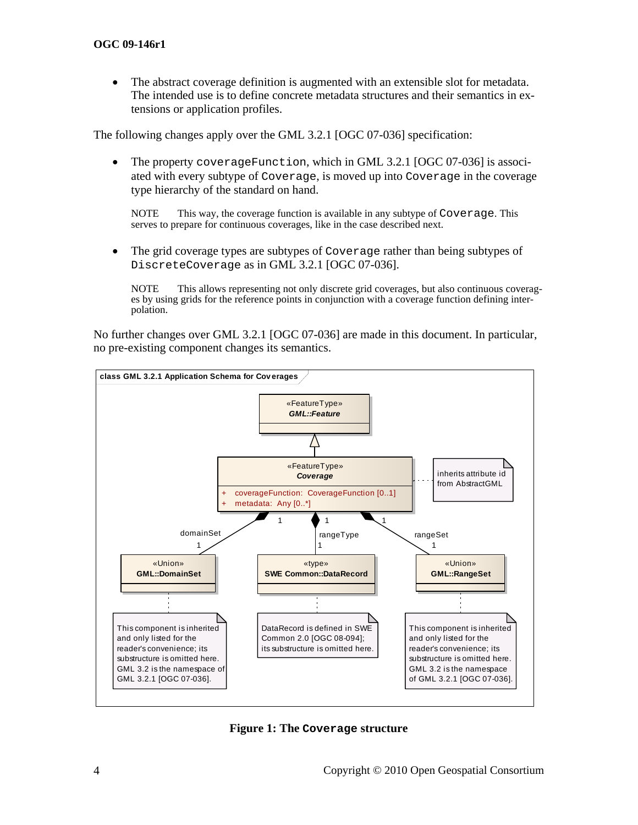• The abstract coverage definition is augmented with an extensible slot for metadata. The intended use is to define concrete metadata structures and their semantics in extensions or application profiles.

The following changes apply over the GML 3.2.1 [OGC 07-036] specification:

• The property coverageFunction, which in GML 3.2.1 [OGC 07-036] is associated with every subtype of Coverage, is moved up into Coverage in the coverage type hierarchy of the standard on hand.

NOTE This way, the coverage function is available in any subtype of Coverage. This serves to prepare for continuous coverages, like in the case described next.

• The grid coverage types are subtypes of Coverage rather than being subtypes of DiscreteCoverage as in GML 3.2.1 [OGC 07-036].

NOTE This allows representing not only discrete grid coverages, but also continuous coverages by using grids for the reference points in conjunction with a coverage function defining interpolation.

No further changes over GML 3.2.1 [OGC 07-036] are made in this document. In particular, no pre-existing component changes its semantics.



**Figure 1: The Coverage structure**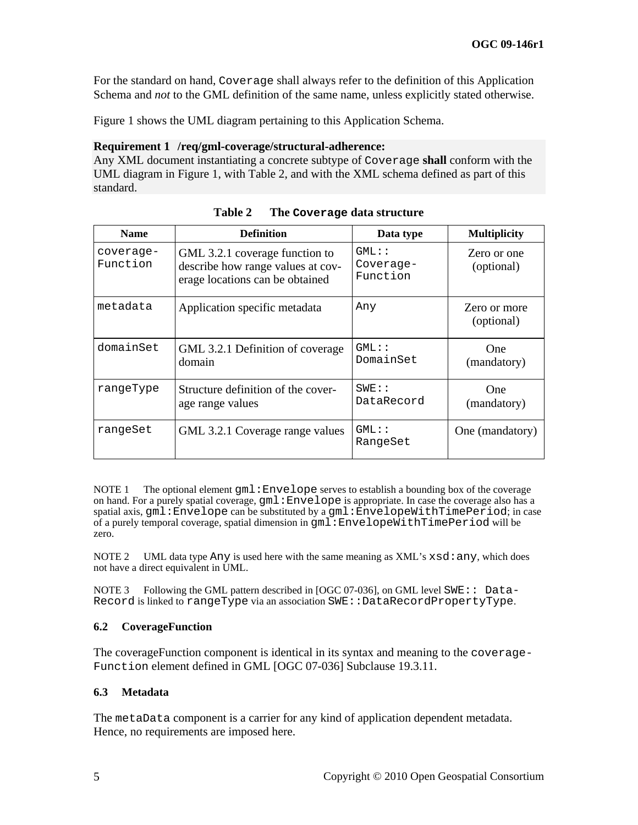<span id="page-11-0"></span>For the standard on hand, Coverage shall always refer to the definition of this Application Schema and *not* to the GML definition of the same name, unless explicitly stated otherwise.

Figure 1 shows the UML diagram pertaining to this Application Schema.

#### <span id="page-11-2"></span>**Requirement 1 /req/gml-coverage/structural-adherence:**

Any XML document instantiating a concrete subtype of Coverage **shall** conform with the UML diagram in Figure 1, with [Table 2](#page-11-1), and with the XML schema defined as part of this standard.

<span id="page-11-1"></span>

| <b>Name</b>           | <b>Definition</b>                                                                                      | Data type                         | <b>Multiplicity</b>        |
|-----------------------|--------------------------------------------------------------------------------------------------------|-----------------------------------|----------------------------|
| coverage-<br>Function | GML 3.2.1 coverage function to<br>describe how range values at cov-<br>erage locations can be obtained | $GML:$ :<br>Coverage-<br>Function | Zero or one<br>(optional)  |
| metadata              | Application specific metadata                                                                          | Any                               | Zero or more<br>(optional) |
| domainSet             | GML 3.2.1 Definition of coverage<br>domain                                                             | $GML:$ :<br>DomainSet             | <b>One</b><br>(mandatory)  |
| rangeType             | Structure definition of the cover-<br>age range values                                                 | $SWE$ : :<br>DataRecord           | <b>One</b><br>(mandatory)  |
| rangeSet              | GML 3.2.1 Coverage range values                                                                        | $GML:$ :<br>RangeSet              | One (mandatory)            |

**Table 2 The Coverage data structure** 

NOTE 1 The optional element  $\text{cm1: Envelope}$  serves to establish a bounding box of the coverage on hand. For a purely spatial coverage, gml:Envelope is appropriate. In case the coverage also has a spatial axis, gml:Envelope can be substituted by a gml:EnvelopeWithTimePeriod; in case of a purely temporal coverage, spatial dimension in gml:EnvelopeWithTimePeriod will be zero.

NOTE 2 UML data type Any is used here with the same meaning as  $XML$ 's  $xsd:$  any, which does not have a direct equivalent in UML.

NOTE 3 Following the GML pattern described in [OGC 07-036], on GML level SWE:: Data-Record is linked to rangeType via an association SWE::DataRecordPropertyType.

#### **6.2 CoverageFunction**

The coverageFunction component is identical in its syntax and meaning to the coverage-Function element defined in GML [OGC 07-036] Subclause 19.3.11.

#### **6.3 Metadata**

The metaData component is a carrier for any kind of application dependent metadata. Hence, no requirements are imposed here.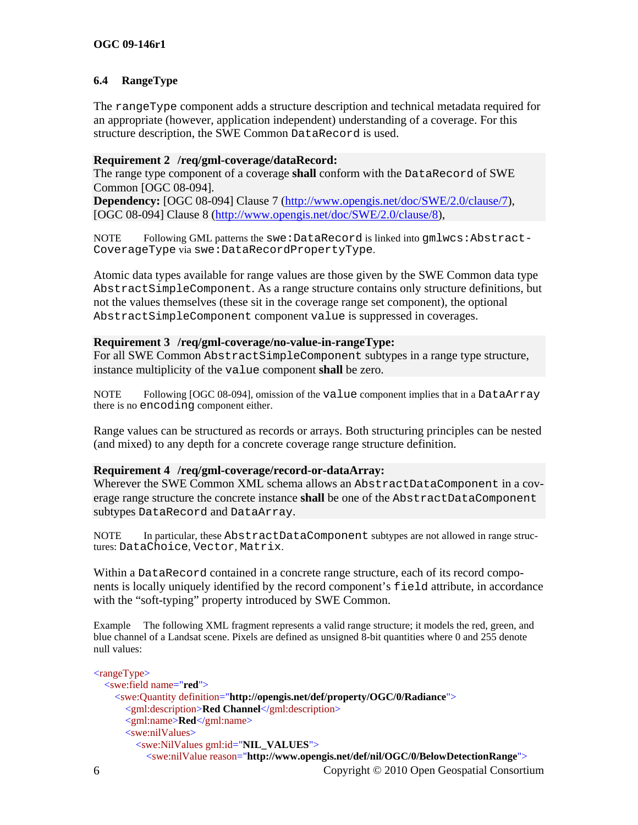# <span id="page-12-0"></span>**6.4 RangeType**

The rangeType component adds a structure description and technical metadata required for an appropriate (however, application independent) understanding of a coverage. For this structure description, the SWE Common DataRecord is used.

### <span id="page-12-1"></span>**Requirement 2 /req/gml-coverage/dataRecord:**

The range type component of a coverage **shall** conform with the DataRecord of SWE Common [OGC 08-094].

**Dependency:** [OGC 08-094] Clause 7 ([http://www.opengis.net/doc/SWE/2.0/clause/7\)](http://www.opengis.net/doc/SWE/2.0/clause/7), [OGC 08-094] Clause 8 ([http://www.opengis.net/doc/SWE/2.0/clause/8\)](http://www.opengis.net/doc/SWE/2.0/clause/8),

NOTE Following GML patterns the swe: DataRecord is linked into  $qmlwcs:Abstract-$ CoverageType via swe:DataRecordPropertyType.

Atomic data types available for range values are those given by the SWE Common data type AbstractSimpleComponent. As a range structure contains only structure definitions, but not the values themselves (these sit in the coverage range set component), the optional AbstractSimpleComponent component value is suppressed in coverages.

#### <span id="page-12-2"></span>**Requirement 3 /req/gml-coverage/no-value-in-rangeType:**

For all SWE Common AbstractSimpleComponent subtypes in a range type structure, instance multiplicity of the value component **shall** be zero.

NOTE Following [OGC 08-094], omission of the value component implies that in a DataArray there is no encoding component either.

Range values can be structured as records or arrays. Both structuring principles can be nested (and mixed) to any depth for a concrete coverage range structure definition.

# <span id="page-12-3"></span>**Requirement 4 /req/gml-coverage/record-or-dataArray:**

Wherever the SWE Common XML schema allows an AbstractDataComponent in a coverage range structure the concrete instance **shall** be one of the AbstractDataComponent subtypes DataRecord and DataArray.

NOTE In particular, these AbstractDataComponent subtypes are not allowed in range structures: DataChoice, Vector, Matrix.

Within a DataRecord contained in a concrete range structure, each of its record components is locally uniquely identified by the record component's field attribute, in accordance with the "soft-typing" property introduced by SWE Common.

Example The following XML fragment represents a valid range structure; it models the red, green, and blue channel of a Landsat scene. Pixels are defined as unsigned 8-bit quantities where 0 and 255 denote null values:

```
6 Copyright © 2010 Open Geospatial Consortium
\langle \text{rangeType} \rangle <swe:field name="red">
     <swe:Quantity definition="http://opengis.net/def/property/OGC/0/Radiance">
       <gml:description>Red Channel</gml:description>
       <gml:name>Red</gml:name>
       <swe:nilValues>
         <swe:NilValues gml:id="NIL_VALUES">
           <swe:nilValue reason="http://www.opengis.net/def/nil/OGC/0/BelowDetectionRange">
```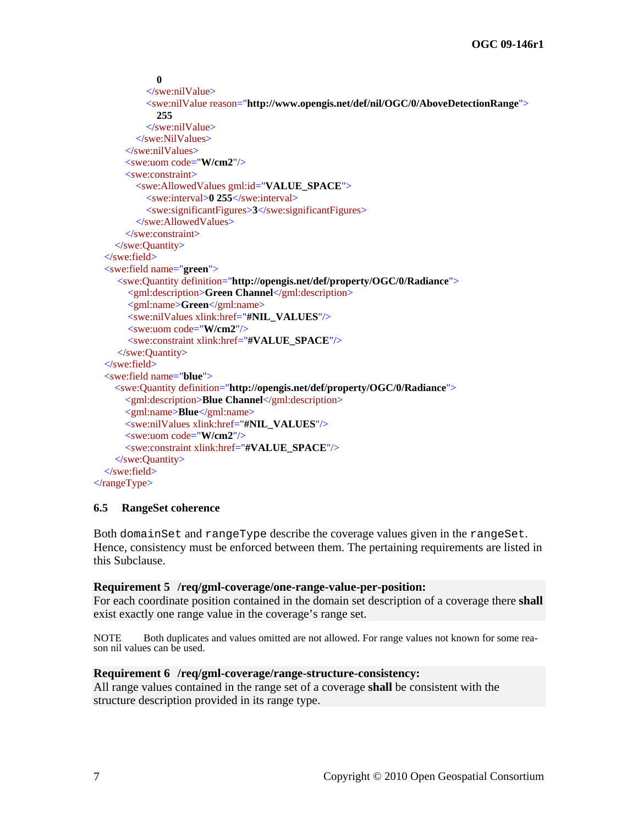```
 0 
            </swe:nilValue>
            <swe:nilValue reason="http://www.opengis.net/def/nil/OGC/0/AboveDetectionRange"> 
              255 
            </swe:nilValue>
          </swe:NilValues>
       </swe:nilValues>
       <swe:uom code="W/cm2"/>
       <swe:constraint>
          <swe:AllowedValues gml:id="VALUE_SPACE">
            <swe:interval>0 255</swe:interval>
            <swe:significantFigures>3</swe:significantFigures>
          </swe:AllowedValues>
       </swe:constraint>
     </swe:Quantity>
   </swe:field>
   <swe:field name="green">
     <swe:Quantity definition="http://opengis.net/def/property/OGC/0/Radiance">
        <gml:description>Green Channel</gml:description>
        <gml:name>Green</gml:name>
        <swe:nilValues xlink:href="#NIL_VALUES"/>
        <swe:uom code="W/cm2"/>
        <swe:constraint xlink:href="#VALUE_SPACE"/>
     </swe:Quantity>
   </swe:field>
   <swe:field name="blue">
     <swe:Quantity definition="http://opengis.net/def/property/OGC/0/Radiance">
       <gml:description>Blue Channel</gml:description>
       <gml:name>Blue</gml:name>
       <swe:nilValues xlink:href="#NIL_VALUES"/>
       <swe:uom code="W/cm2"/>
       <swe:constraint xlink:href="#VALUE_SPACE"/>
     </swe:Quantity>
   </swe:field>
\langlerangeType>
```
#### **6.5 RangeSet coherence**

<span id="page-13-1"></span>Both domainSet and rangeType describe the coverage values given in the rangeSet. Hence, consistency must be enforced between them. The pertaining requirements are listed in this Subclause.

#### **Requirement 5 /req/gml-coverage/one-range-value-per-position:**

For each coordinate position contained in the domain set description of a coverage there **shall** exist exactly one range value in the coverage's range set.

NOTE Both duplicates and values omitted are not allowed. For range values not known for some reason nil values can be used.

#### <span id="page-13-2"></span>**Requirement 6 /req/gml-coverage/range-structure-consistency:**

All range values contained in the range set of a coverage **shall** be consistent with the structure description provided in its range type.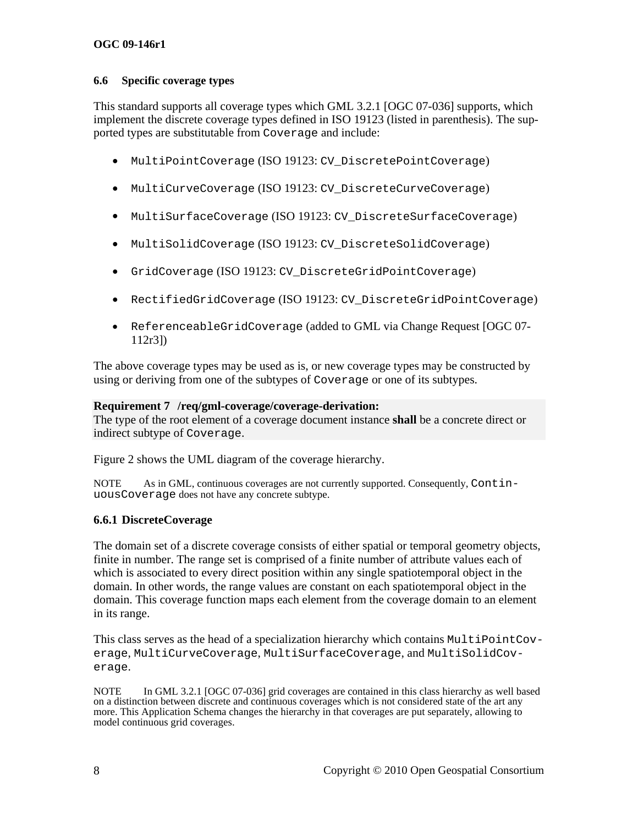### <span id="page-14-0"></span>**6.6 Specific coverage types**

This standard supports all coverage types which GML 3.2.1 [OGC 07-036] supports, which implement the discrete coverage types defined in ISO 19123 (listed in parenthesis). The supported types are substitutable from Coverage and include:

- MultiPointCoverage (ISO 19123: CV\_DiscretePointCoverage)
- MultiCurveCoverage (ISO 19123: CV\_DiscreteCurveCoverage)
- MultiSurfaceCoverage (ISO 19123: CV\_DiscreteSurfaceCoverage)
- MultiSolidCoverage (ISO 19123: CV DiscreteSolidCoverage)
- GridCoverage (ISO 19123: CV\_DiscreteGridPointCoverage)
- RectifiedGridCoverage (ISO 19123: CV DiscreteGridPointCoverage)
- ReferenceableGridCoverage (added to GML via Change Request [OGC 07- 112r3])

The above coverage types may be used as is, or new coverage types may be constructed by using or deriving from one of the subtypes of Coverage or one of its subtypes.

#### <span id="page-14-1"></span>**Requirement 7 /req/gml-coverage/coverage-derivation:**

The type of the root element of a coverage document instance **shall** be a concrete direct or indirect subtype of Coverage.

Figure 2 shows the UML diagram of the coverage hierarchy.

NOTE As in GML, continuous coverages are not currently supported. Consequently, ContinuousCoverage does not have any concrete subtype.

# **6.6.1 DiscreteCoverage**

The domain set of a discrete coverage consists of either spatial or temporal geometry objects, finite in number. The range set is comprised of a finite number of attribute values each of which is associated to every direct position within any single spatiotemporal object in the domain. In other words, the range values are constant on each spatiotemporal object in the domain. This coverage function maps each element from the coverage domain to an element in its range.

This class serves as the head of a specialization hierarchy which contains MultiPointCoverage, MultiCurveCoverage, MultiSurfaceCoverage, and MultiSolidCoverage.

NOTE In GML 3.2.1 [OGC 07-036] grid coverages are contained in this class hierarchy as well based on a distinction between discrete and continuous coverages which is not considered state of the art any more. This Application Schema changes the hierarchy in that coverages are put separately, allowing to model continuous grid coverages.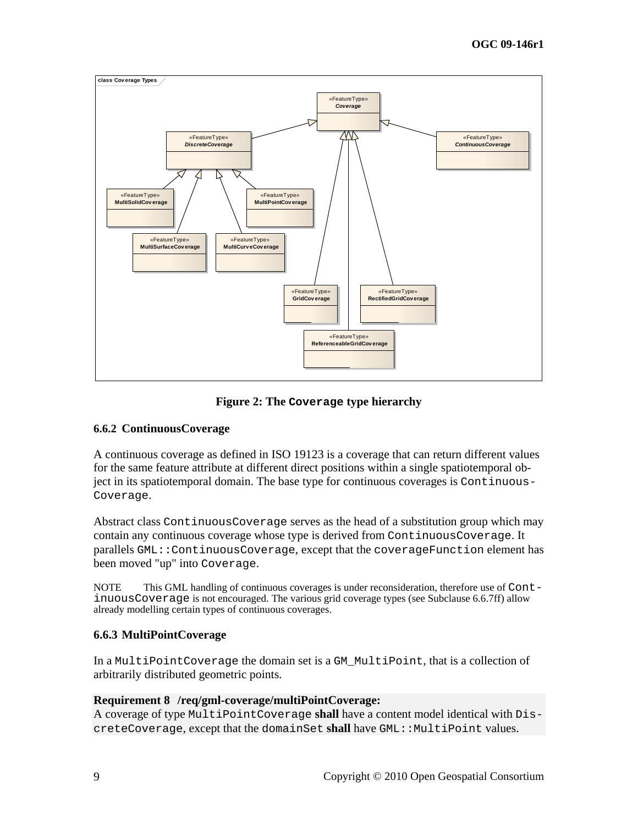<span id="page-15-0"></span>

**Figure 2: The Coverage type hierarchy** 

# **6.6.2 ContinuousCoverage**

A continuous coverage as defined in ISO 19123 is a coverage that can return different values for the same feature attribute at different direct positions within a single spatiotemporal object in its spatiotemporal domain. The base type for continuous coverages is Continuous-Coverage.

Abstract class ContinuousCoverage serves as the head of a substitution group which may contain any continuous coverage whose type is derived from ContinuousCoverage. It parallels GML::ContinuousCoverage, except that the coverageFunction element has been moved "up" into Coverage.

NOTE This GML handling of continuous coverages is under reconsideration, therefore use of ContinuousCoverage is not encouraged. The various grid coverage types (see Subclause [6.6.7](#page-17-1)ff) allow already modelling certain types of continuous coverages.

# **6.6.3 MultiPointCoverage**

In a MultiPointCoverage the domain set is a GM\_MultiPoint, that is a collection of arbitrarily distributed geometric points.

# <span id="page-15-1"></span>**Requirement 8 /req/gml-coverage/multiPointCoverage:**

A coverage of type MultiPointCoverage **shall** have a content model identical with DiscreteCoverage, except that the domainSet shall have GML: : MultiPoint values.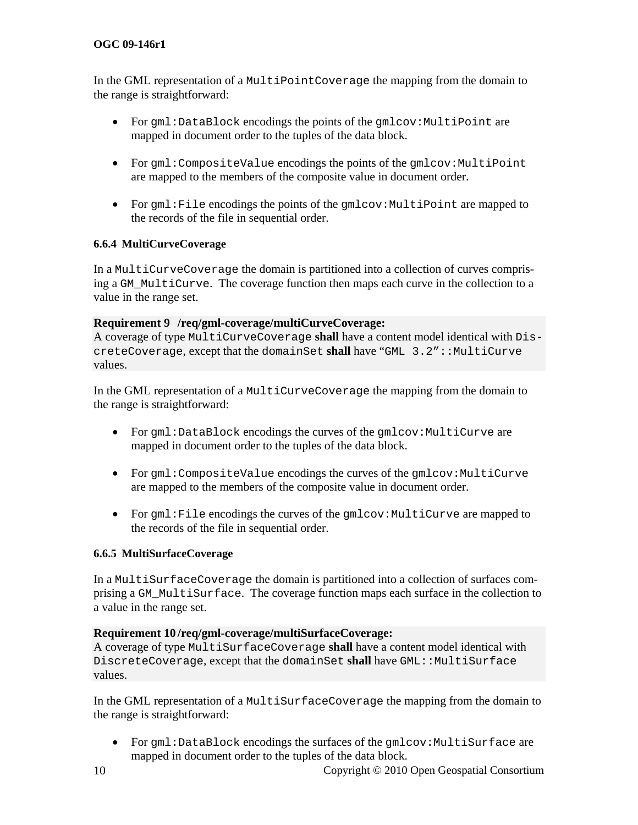# <span id="page-16-0"></span>**OGC 09-146r1**

In the GML representation of a MultiPointCoverage the mapping from the domain to the range is straightforward:

- For  $gml:DataBlock encodings the points of the qmlcov:MultiPoint are$ mapped in document order to the tuples of the data block.
- For gml:CompositeValue encodings the points of the gmlcov:MultiPoint are mapped to the members of the composite value in document order.
- For gml: File encodings the points of the gmlcov: MultiPoint are mapped to the records of the file in sequential order.

# **6.6.4 MultiCurveCoverage**

In a MultiCurveCoverage the domain is partitioned into a collection of curves comprising a GM\_MultiCurve. The coverage function then maps each curve in the collection to a value in the range set.

#### <span id="page-16-1"></span>**Requirement 9 /req/gml-coverage/multiCurveCoverage:**

A coverage of type MultiCurveCoverage **shall** have a content model identical with DiscreteCoverage, except that the domainSet **shall** have "GML 3.2"::MultiCurve values.

In the GML representation of a MultiCurveCoverage the mapping from the domain to the range is straightforward:

- For gml:DataBlock encodings the curves of the gmlcov:MultiCurve are mapped in document order to the tuples of the data block.
- For  $g$ ml:CompositeValue encodings the curves of the  $g$ mlcov:MultiCurve are mapped to the members of the composite value in document order.
- For  $qml:File encodings$  the curves of the  $qmlcov:MultiCurve$  are mapped to the records of the file in sequential order.

# **6.6.5 MultiSurfaceCoverage**

In a MultiSurfaceCoverage the domain is partitioned into a collection of surfaces comprising a GM\_MultiSurface. The coverage function maps each surface in the collection to a value in the range set.

#### <span id="page-16-2"></span>**Requirement 10 /req/gml-coverage/multiSurfaceCoverage:**

A coverage of type MultiSurfaceCoverage **shall** have a content model identical with DiscreteCoverage, except that the domainSet shall have GML: : MultiSurface values.

In the GML representation of a MultiSurfaceCoverage the mapping from the domain to the range is straightforward:

• For gml:DataBlock encodings the surfaces of the gmlcov:MultiSurface are mapped in document order to the tuples of the data block.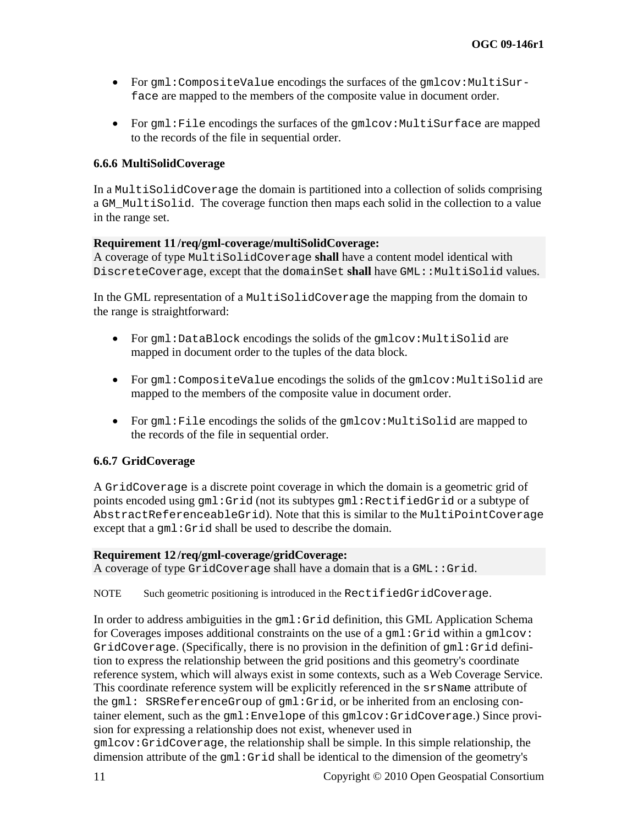- <span id="page-17-0"></span>• For  $gml:CompositeValue$  encodings the surfaces of the  $gmlow:MultiSur$ face are mapped to the members of the composite value in document order.
- For  $gml:File encodings$  the surfaces of the  $gmlcov:MultiSurface$  are mapped to the records of the file in sequential order.

#### **6.6.6 MultiSolidCoverage**

In a MultiSolidCoverage the domain is partitioned into a collection of solids comprising a GM\_MultiSolid. The coverage function then maps each solid in the collection to a value in the range set.

#### <span id="page-17-2"></span>**Requirement 11 /req/gml-coverage/multiSolidCoverage:**

A coverage of type MultiSolidCoverage **shall** have a content model identical with DiscreteCoverage, except that the domainSet shall have GML::MultiSolid values.

In the GML representation of a MultiSolidCoverage the mapping from the domain to the range is straightforward:

- For gml:DataBlock encodings the solids of the gmlcov:MultiSolid are mapped in document order to the tuples of the data block.
- For  $gml:Composite Value encodings the solids of the qmlcov:MultiSolid are$ mapped to the members of the composite value in document order.
- For gml: File encodings the solids of the gmlcov: MultiSolid are mapped to the records of the file in sequential order.

# <span id="page-17-1"></span>**6.6.7 GridCoverage**

<span id="page-17-3"></span>A GridCoverage is a discrete point coverage in which the domain is a geometric grid of points encoded using gml:Grid (not its subtypes gml:RectifiedGrid or a subtype of AbstractReferenceableGrid). Note that this is similar to the MultiPointCoverage except that a  $qml:Grid shall be used to describe the domain.$ 

#### **Requirement 12 /req/gml-coverage/gridCoverage:**

A coverage of type GridCoverage shall have a domain that is a GML::Grid.

NOTE Such geometric positioning is introduced in the RectifiedGridCoverage.

In order to address ambiguities in the gml:Grid definition, this GML Application Schema for Coverages imposes additional constraints on the use of a gml:Grid within a gmlcov: GridCoverage. (Specifically, there is no provision in the definition of gml:Grid definition to express the relationship between the grid positions and this geometry's coordinate reference system, which will always exist in some contexts, such as a Web Coverage Service. This coordinate reference system will be explicitly referenced in the srsName attribute of the gml: SRSReferenceGroup of gml:Grid, or be inherited from an enclosing container element, such as the gml:Envelope of this gmlcov:GridCoverage.) Since provision for expressing a relationship does not exist, whenever used in

gmlcov:GridCoverage, the relationship shall be simple. In this simple relationship, the dimension attribute of the gml:Grid shall be identical to the dimension of the geometry's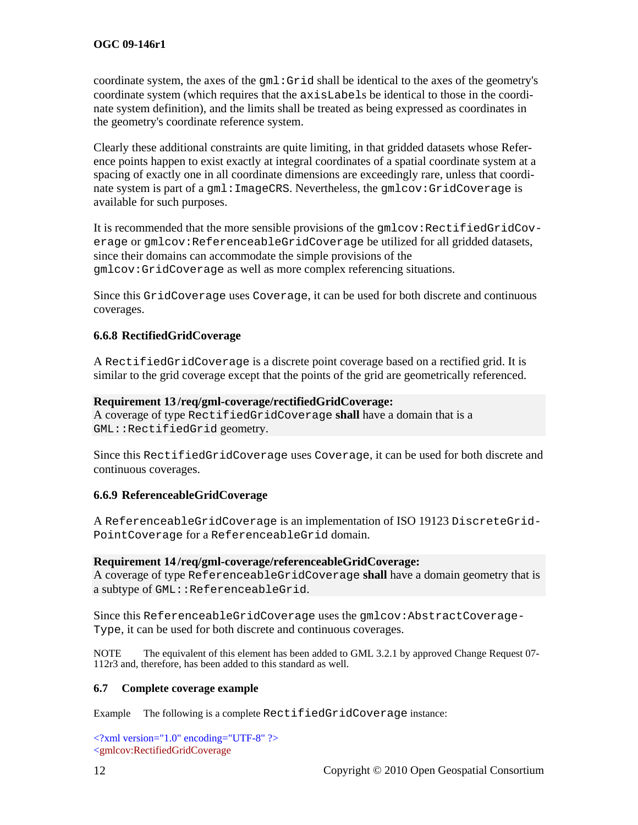<span id="page-18-0"></span>coordinate system, the axes of the gml:Grid shall be identical to the axes of the geometry's coordinate system (which requires that the axisLabels be identical to those in the coordinate system definition), and the limits shall be treated as being expressed as coordinates in the geometry's coordinate reference system.

Clearly these additional constraints are quite limiting, in that gridded datasets whose Reference points happen to exist exactly at integral coordinates of a spatial coordinate system at a spacing of exactly one in all coordinate dimensions are exceedingly rare, unless that coordinate system is part of a gml:ImageCRS. Nevertheless, the gmlcov:GridCoverage is available for such purposes.

It is recommended that the more sensible provisions of the gmlcov: RectifiedGridCoverage or gmlcov:ReferenceableGridCoverage be utilized for all gridded datasets, since their domains can accommodate the simple provisions of the gmlcov:GridCoverage as well as more complex referencing situations.

Since this GridCoverage uses Coverage, it can be used for both discrete and continuous coverages.

# **6.6.8 RectifiedGridCoverage**

A RectifiedGridCoverage is a discrete point coverage based on a rectified grid. It is similar to the grid coverage except that the points of the grid are geometrically referenced.

#### <span id="page-18-1"></span>**Requirement 13 /req/gml-coverage/rectifiedGridCoverage:**

A coverage of type RectifiedGridCoverage **shall** have a domain that is a GML::RectifiedGrid geometry.

Since this RectifiedGridCoverage uses Coverage, it can be used for both discrete and continuous coverages.

# **6.6.9 ReferenceableGridCoverage**

A ReferenceableGridCoverage is an implementation of ISO 19123 DiscreteGrid-PointCoverage for a ReferenceableGrid domain.

#### <span id="page-18-2"></span>**Requirement 14 /req/gml-coverage/referenceableGridCoverage:**

A coverage of type ReferenceableGridCoverage **shall** have a domain geometry that is a subtype of GML::ReferenceableGrid.

Since this ReferenceableGridCoverage uses the gmlcov:AbstractCoverage-Type, it can be used for both discrete and continuous coverages.

NOTE The equivalent of this element has been added to GML 3.2.1 by approved Change Request 07- 112r3 and, therefore, has been added to this standard as well.

#### **6.7 Complete coverage example**

Example The following is a complete RectifiedGridCoverage instance:

 $\langle$  2xml version="1.0" encoding="UTF-8" ?> <gmlcov:RectifiedGridCoverage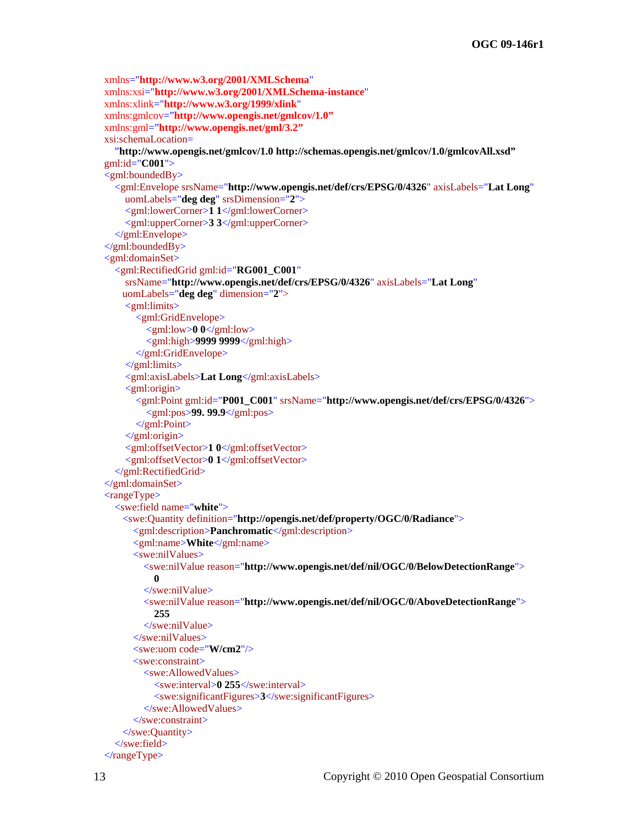```
 xmlns="http://www.w3.org/2001/XMLSchema" 
   xmlns:xsi="http://www.w3.org/2001/XMLSchema-instance" 
  xmlns:xlink="http://www.w3.org/1999/xlink" 
  xmlns:gmlcov="http://www.opengis.net/gmlcov/1.0"
  xmlns:gml="http://www.opengis.net/gml/3.2"
   xsi:schemaLocation= 
     "http://www.opengis.net/gmlcov/1.0 http://schemas.opengis.net/gmlcov/1.0/gmlcovAll.xsd"
   gml:id="C001"> 
  \leqgml:boundedBy> <gml:Envelope srsName="http://www.opengis.net/def/crs/EPSG/0/4326" axisLabels="Lat Long" 
       uomLabels="deg deg" srsDimension="2"> 
       <gml:lowerCorner>1 1</gml:lowerCorner>
       <gml:upperCorner>3 3</gml:upperCorner> 
     </gml:Envelope> 
   </gml:boundedBy>
   <gml:domainSet>
     <gml:RectifiedGrid gml:id="RG001_C001" 
       srsName="http://www.opengis.net/def/crs/EPSG/0/4326" axisLabels="Lat Long" 
       uomLabels="deg deg" dimension="2"> 
       <gml:limits>
          <gml:GridEnvelope>
            <gml:low>0 0</gml:low> 
            <gml:high>9999 9999</gml:high> 
          </gml:GridEnvelope>
       </gml:limits>
       <gml:axisLabels>Lat Long</gml:axisLabels> 
       <gml:origin>
          <gml:Point gml:id="P001_C001" srsName="http://www.opengis.net/def/crs/EPSG/0/4326">
            <gml:pos>99. 99.9</gml:pos> 
          </gml:Point>
       </gml:origin>
       <gml:offsetVector>1 0</gml:offsetVector> 
       <gml:offsetVector>0 1</gml:offsetVector> 
     </gml:RectifiedGrid>
   </gml:domainSet>
   <rangeType> 
     <swe:field name="white"> 
       <swe:Quantity definition="http://opengis.net/def/property/OGC/0/Radiance"> 
         <gml:description>Panchromatic</gml:description> 
         <gml:name>White</gml:name> 
         <swe:nilValues> 
            <swe:nilValue reason="http://www.opengis.net/def/nil/OGC/0/BelowDetectionRange"> 
 0 
           </swe:nilValue>
           <swe:nilValue reason="http://www.opengis.net/def/nil/OGC/0/AboveDetectionRange"> 
              255 
           </swe:nilValue>
         </swe:nilValues> 
         <swe:uom code="W/cm2"/> 
         <swe:constraint> 
           <swe:AllowedValues> 
              <swe:interval>0 255</swe:interval> 
              <swe:significantFigures>3</swe:significantFigures> 
           </swe:AllowedValues> 
         </swe:constraint> 
       </swe:Quantity> 
     </swe:field> 
  \langlerangeType>
```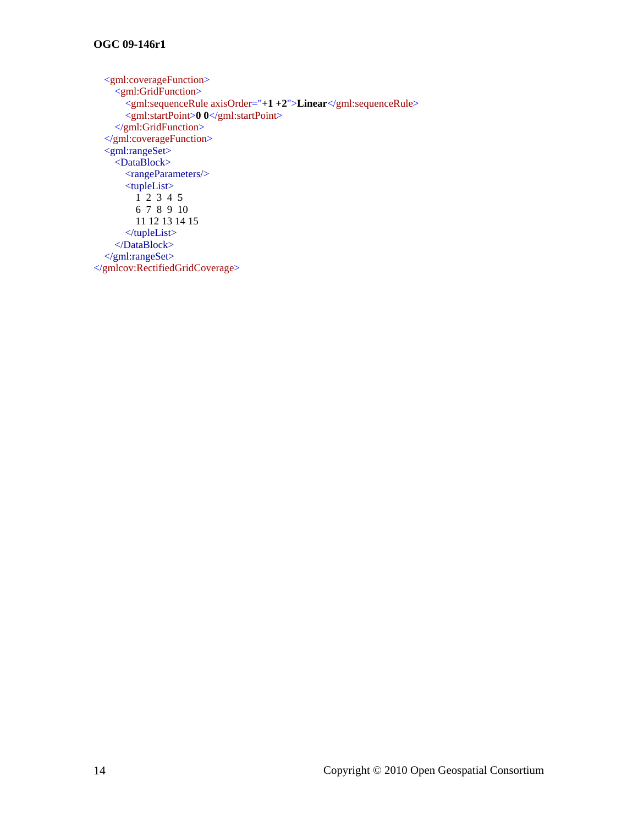<gml:coverageFunction> <gml:GridFunction> <gml:sequenceRule axisOrder="**+1 +2**">**Linear**</gml:sequenceRule> <gml:startPoint>**0 0**</gml:startPoint> </gml:GridFunction> </gml:coverageFunction>  $\leq$ gml:rangeSet $>$  <DataBlock> <rangeParameters/> <tupleList>  $1^2$  2 3 4 5 6 7 8 9 10 11 12 13 14 15 </tupleList> </DataBlock> </gml:rangeSet> </gmlcov:RectifiedGridCoverage>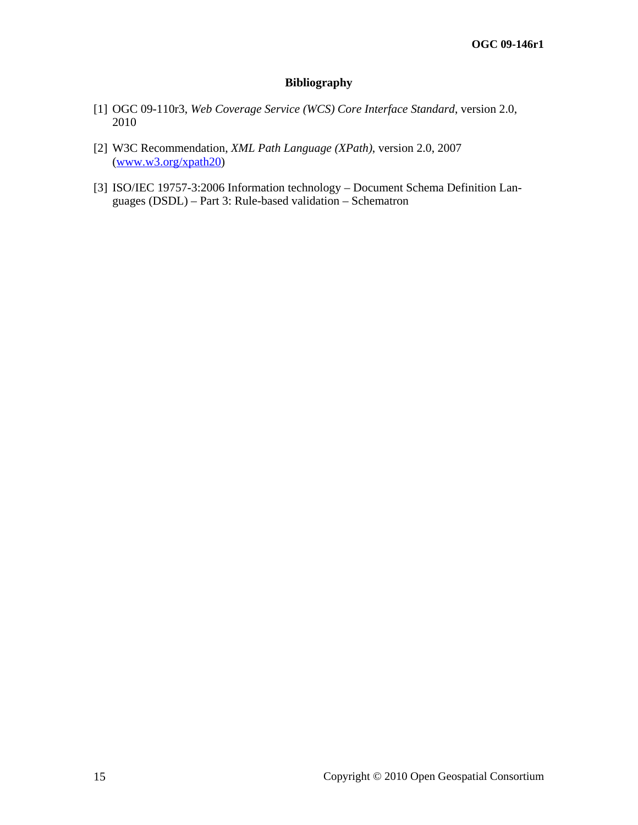# **Bibliography**

- <span id="page-21-1"></span><span id="page-21-0"></span>[1] OGC 09-110r3, *Web Coverage Service (WCS) Core Interface Standard*, version 2.0, 2010
- [2] W3C Recommendation, *XML Path Language (XPath)*, version 2.0, 2007 ([www.w3.org/xpath20](http://www.w3.org/xpath20))
- [3] ISO/IEC 19757-3:2006 Information technology Document Schema Definition Languages (DSDL) – Part 3: Rule-based validation – Schematron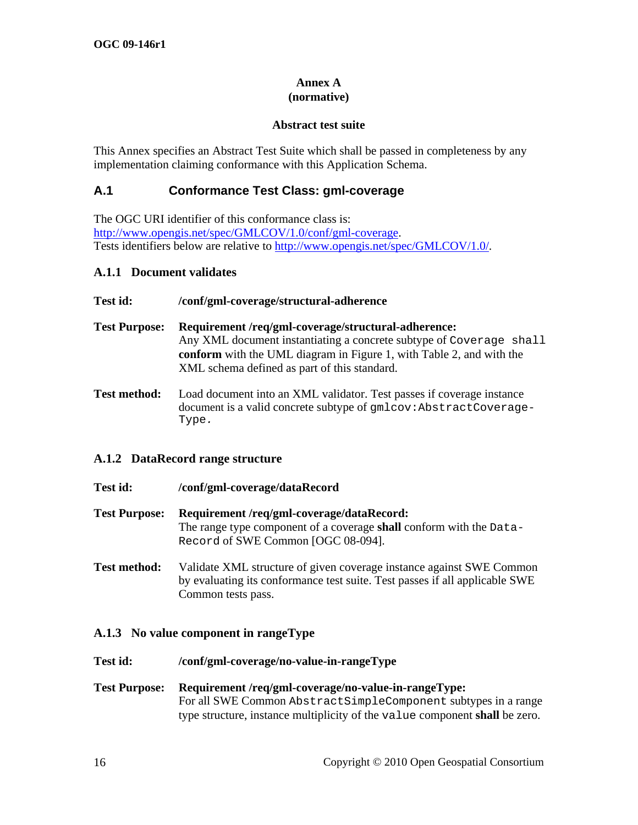#### **Annex A (normative)**

### **Abstract test suite**

<span id="page-23-0"></span>This Annex specifies an Abstract Test Suite which shall be passed in completeness by any implementation claiming conformance with this Application Schema.

# **A.1 Conformance Test Class: gml-coverage**

The OGC URI identifier of this conformance class is: <http://www.opengis.net/spec/GMLCOV/1.0/conf/gml-coverage>. Tests identifiers below are relative to <http://www.opengis.net/spec/GMLCOV/1.0/>.

#### **A.1.1 Document validates**

#### **Test id: /conf/gml-coverage/structural-adherence**

- **Test Purpose: Requirement [/req/gml-coverage/structural-adherence:](#page-11-2)** [Any XML document instantiating a concrete subtype of](#page-11-2) [Coverage shall](#page-11-2) **conform** [with the UML diagram in Figure 1, with Table 2, and with the](#page-11-2)  [XML schema defined as part of this standard.](#page-11-2)
- **Test method:** Load document into an XML validator. Test passes if coverage instance document is a valid concrete subtype of gmlcov:AbstractCoverage-Type*.*

#### **A.1.2 DataRecord range structure**

- **Test id: /conf/gml-coverage/dataRecord**
- **Test Purpose: Requirement [/req/gml-coverage/dataRecord:](#page-12-1)**  [The range type component of a coverage](#page-12-1) **shall** conform with the [Data-](#page-12-1)[Record](#page-12-1) [of SWE Common \[OGC 08-094\].](#page-12-1)
- **Test method:** Validate XML structure of given coverage instance against SWE Common by evaluating its conformance test suite. Test passes if all applicable SWE Common tests pass.

# **A.1.3 No value component in rangeType**

- **Test id: /conf/gml-coverage/no-value-in-rangeType**
- **Test Purpose: Requirement [/req/gml-coverage/no-value-in-rangeType:](#page-12-2)**  [For all SWE Common](#page-12-2) [AbstractSimpleComponent](#page-12-2) [subtypes in a range](#page-12-2)  [type structure, instance multiplicity of the](#page-12-2) [value](#page-12-2) [component](#page-12-2) **shall** be zero.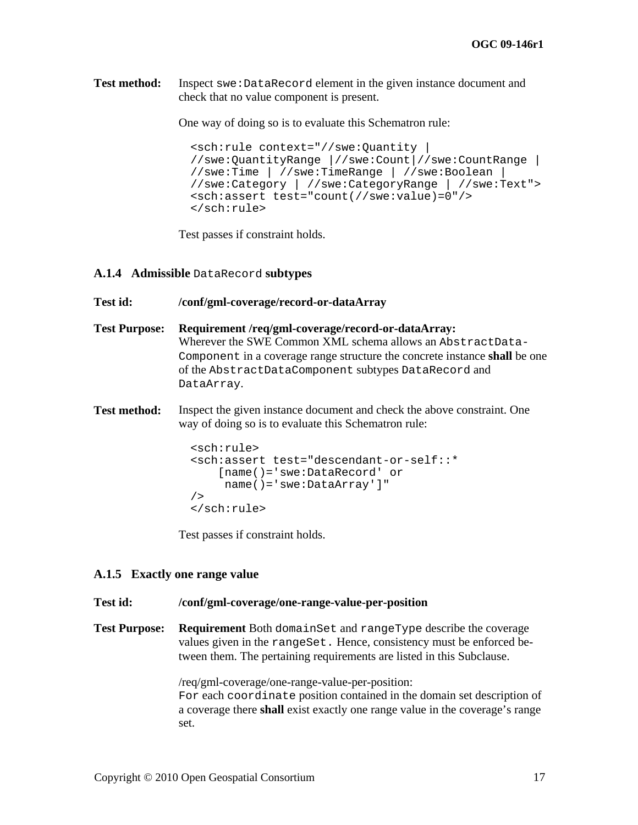<span id="page-24-0"></span>**Test method:** Inspect swe:DataRecord element in the given instance document and check that no value component is present.

One way of doing so is to evaluate this Schematron rule:

```
<sch:rule context="//swe:Quantity | 
//swe:QuantityRange |//swe:Count|//swe:CountRange | 
//swe:Time | //swe:TimeRange | //swe:Boolean | 
//swe:Category | //swe:CategoryRange | //swe:Text"> 
<sch:assert test="count(//swe:value)=0"/> 
</sch:rule>
```
Test passes if constraint holds.

#### **A.1.4 Admissible** DataRecord **subtypes**

#### **Test id: /conf/gml-coverage/record-or-dataArray**

- **Test Purpose: Requirement [/req/gml-coverage/record-or-dataArray:](#page-12-3)**  [Wherever the SWE Common XML schema allows an](#page-12-3) [AbstractData-](#page-12-3)[Component](#page-12-3) [in a coverage range structure the concrete instance](#page-12-3) **shall** be one [of the](#page-12-3) [AbstractDataComponent](#page-12-3) [subtypes](#page-12-3) [DataRecord](#page-12-3) [and](#page-12-3)  [DataArray](#page-12-3)[.](#page-12-3)
- **Test method:** Inspect the given instance document and check the above constraint. One way of doing so is to evaluate this Schematron rule:

```
<sch:rule> 
<sch:assert test="descendant-or-self::* 
     [name()='swe:DataRecord' or 
      name()='swe:DataArray']" 
/> 
</sch:rule>
```
Test passes if constraint holds.

#### **A.1.5 Exactly one range value**

#### **Test id: /conf/gml-coverage/one-range-value-per-position**

**Test Purpose: Requirement** [Both](#page-13-1) [domainSet](#page-13-1) [and](#page-13-1) [rangeType](#page-13-1) [describe the coverage](#page-13-1)  [values given in the](#page-13-1) [rangeSet.](#page-13-1) [Hence, consistency must be enforced be](#page-13-1)[tween them. The pertaining requirements are listed in this Subclause.](#page-13-1) 

> [/req/gml-coverage/one-range-value-per-position:](#page-13-1)  [For](#page-13-1) [each](#page-13-1) [coordinate](#page-13-1) [position contained in the domain set description of](#page-13-1)  a coverage there **shall** [exist exactly one range value in the coverage's range](#page-13-1)  [set.](#page-13-1)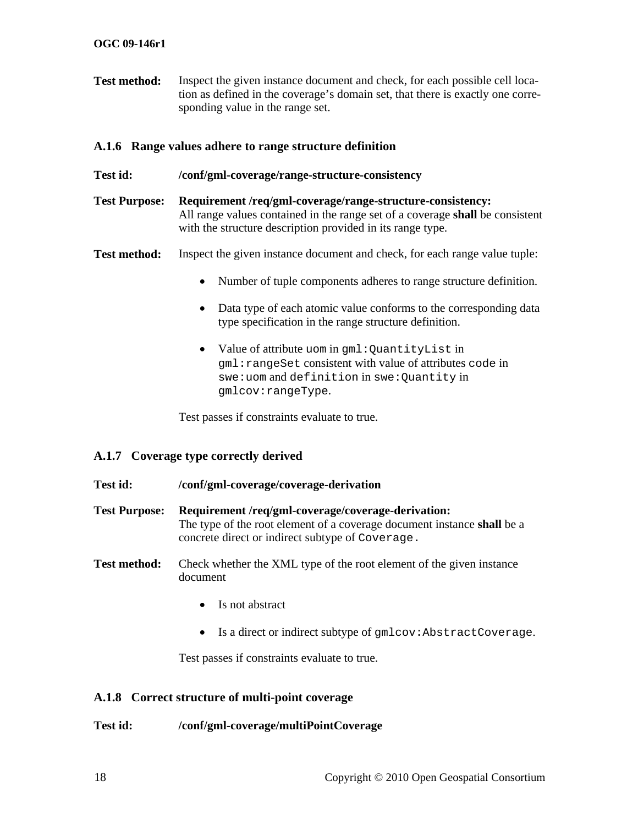<span id="page-25-0"></span>**Test method:** Inspect the given instance document and check, for each possible cell location as defined in the coverage's domain set, that there is exactly one corresponding value in the range set.

# **A.1.6 Range values adhere to range structure definition**

- **Test id: /conf/gml-coverage/range-structure-consistency**
- **Test Purpose: Requirement [/req/gml-coverage/range-structure-consistency:](#page-13-2)**  [All range values contained in the range set of a coverage](#page-13-2) **shall** be consistent [with the structure description provided in its range type.](#page-13-2)
- **Test method:** Inspect the given instance document and check, for each range value tuple:
	- Number of tuple components adheres to range structure definition.
	- Data type of each atomic value conforms to the corresponding data type specification in the range structure definition.
	- Value of attribute uom in gml:QuantityList in gml:rangeSet consistent with value of attributes code in swe:uom and definition in swe:Quantity in gmlcov:rangeType.

Test passes if constraints evaluate to true.

# **A.1.7 Coverage type correctly derived**

#### **Test id: /conf/gml-coverage/coverage-derivation**

- **Test Purpose: Requirement [/req/gml-coverage/coverage-derivation:](#page-14-1)**  [The type of the root element of a coverage document instance](#page-14-1) **shall** be a [concrete direct or indirect subtype of](#page-14-1) [Coverage.](#page-14-1)
- **Test method:** Check whether the XML type of the root element of the given instance document
	- Is not abstract
	- Is a direct or indirect subtype of  $qmlcov:AbstractCoverage$ .

Test passes if constraints evaluate to true.

### **A.1.8 Correct structure of multi-point coverage**

#### **Test id: /conf/gml-coverage/multiPointCoverage**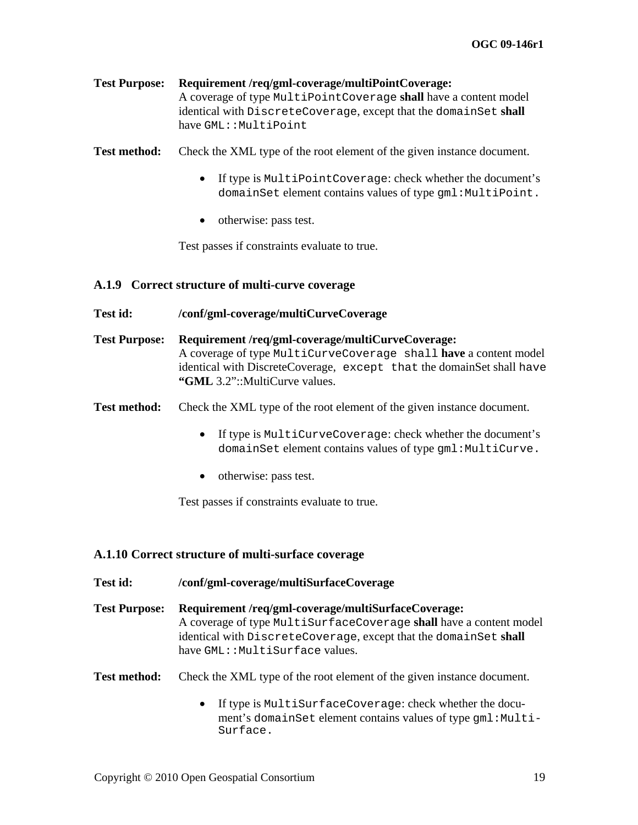<span id="page-26-0"></span>**Test Purpose: Requirement [/req/gml-coverage/multiPointCoverage:](#page-15-1)**  [A coverage of type](#page-15-1) [MultiPointCoverage](#page-15-1) **shall** [have a content model](#page-15-1)  [identical with](#page-15-1) [DiscreteCoverage](#page-15-1)[, except that the](#page-15-1) [domainSet](#page-15-1) **[shall](#page-15-1)**  [have](#page-15-1) [GML::MultiPoint](#page-15-1)

**Test method:** Check the XML type of the root element of the given instance document.

- If type is MultiPointCoverage: check whether the document's domainSet element contains values of type gml:MultiPoint.
- otherwise: pass test.

Test passes if constraints evaluate to true.

#### **A.1.9 Correct structure of multi-curve coverage**

#### **Test id: /conf/gml-coverage/multiCurveCoverage**

**Test Purpose: Requirement [/req/gml-coverage/multiCurveCoverage:](#page-16-1)**  [A coverage of type](#page-16-1) [MultiCurveCoverage shall](#page-16-1) **have** [a content model](#page-16-1)  [identical with DiscreteCoverage,](#page-16-1) [except that](#page-16-1) [the domainSet shall](#page-16-1) [have](#page-16-1) **"GML** [3.2"::MultiCurve values.](#page-16-1) 

**Test method:** Check the XML type of the root element of the given instance document.

- If type is MultiCurveCoverage: check whether the document's domainSet element contains values of type gml:MultiCurve.
- otherwise: pass test.

Test passes if constraints evaluate to true.

#### **A.1.10 Correct structure of multi-surface coverage**

| Test id:             | /conf/gml-coverage/multiSurfaceCoverage                                                                                                                                                                                         |  |
|----------------------|---------------------------------------------------------------------------------------------------------------------------------------------------------------------------------------------------------------------------------|--|
| <b>Test Purpose:</b> | Requirement/req/gml-coverage/multiSurfaceCoverage:<br>A coverage of type MultiSurfaceCoverage shall have a content model<br>identical with DiscreteCoverage, except that the domainSet shall<br>have GML:: MultiSurface values. |  |
| <b>Test method:</b>  | Check the XML type of the root element of the given instance document.                                                                                                                                                          |  |
|                      | If type is MultiSurfaceCoverage: check whether the docu-<br>$\bullet$<br>ment's domainSet element contains values of type gml: Multi-<br>Surface.                                                                               |  |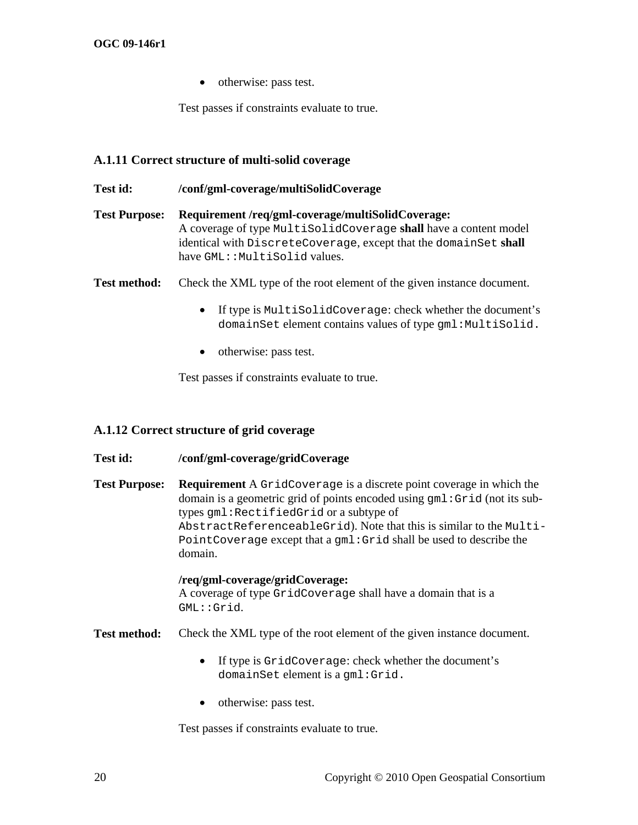• otherwise: pass test.

Test passes if constraints evaluate to true.

# <span id="page-27-0"></span>**A.1.11 Correct structure of multi-solid coverage**

| Test id:             | /conf/gml-coverage/multiSolidCoverage                                                                                                                                                                                     |
|----------------------|---------------------------------------------------------------------------------------------------------------------------------------------------------------------------------------------------------------------------|
| <b>Test Purpose:</b> | Requirement/req/gml-coverage/multiSolidCoverage:<br>A coverage of type MultiSolidCoverage shall have a content model<br>identical with DiscreteCoverage, except that the domainSet shall<br>have GML:: MultiSolid values. |
| <b>Test method:</b>  | Check the XML type of the root element of the given instance document.                                                                                                                                                    |

- If type is MultiSolidCoverage: check whether the document's domainSet element contains values of type gml:MultiSolid.
- otherwise: pass test.

Test passes if constraints evaluate to true.

# **A.1.12 Correct structure of grid coverage**

# **Test id: /conf/gml-coverage/gridCoverage**

**Test Purpose: Requirement** [A](#page-17-3) [GridCoverage](#page-17-3) [is a discrete point coverage in which the](#page-17-3)  [domain is a geometric grid of points encoded using](#page-17-3) [gml:Grid](#page-17-3) [\(not its sub](#page-17-3)[types](#page-17-3) [gml:RectifiedGrid](#page-17-3) [or a subtype of](#page-17-3)  [AbstractReferenceableGrid](#page-17-3)[\). Note that this is similar to the](#page-17-3) [Multi-](#page-17-3)[PointCoverage](#page-17-3) [except that a](#page-17-3) [gml:Grid](#page-17-3) [shall be used to describe the](#page-17-3)  [domain.](#page-17-3) 

#### **[/req/gml-coverage/gridCoverage:](#page-17-3)**

[A coverage of type](#page-17-3) [GridCoverage](#page-17-3) [shall have a domain that is a](#page-17-3)  [GML::Grid](#page-17-3)[.](#page-17-3) 

**Test method:** Check the XML type of the root element of the given instance document.

- If type is GridCoverage: check whether the document's domainSet element is a gml:Grid.
- otherwise: pass test.

Test passes if constraints evaluate to true.